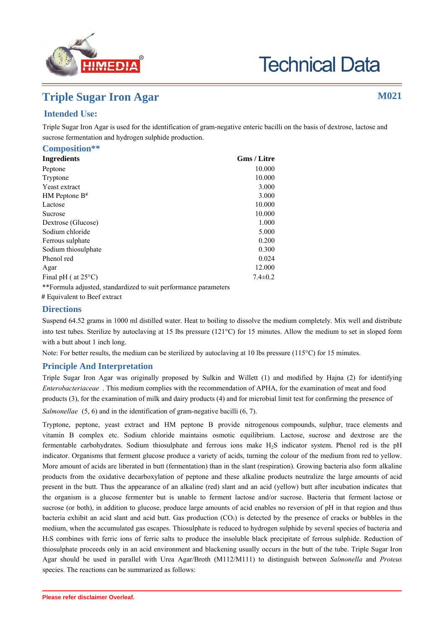

# **Technical Data**

## **Triple Sugar Iron Agar M021**

## **Intended Use:**

Triple Sugar Iron Agar is used for the identification of gram-negative enteric bacilli on the basis of dextrose, lactose and sucrose fermentation and hydrogen sulphide production.

| Composition**                                                   |                    |
|-----------------------------------------------------------------|--------------------|
| <b>Ingredients</b>                                              | <b>Gms / Litre</b> |
| Peptone                                                         | 10.000             |
| Tryptone                                                        | 10.000             |
| Yeast extract                                                   | 3.000              |
| $HM$ Peptone $B^*$                                              | 3.000              |
| Lactose                                                         | 10.000             |
| Sucrose                                                         | 10.000             |
| Dextrose (Glucose)                                              | 1.000              |
| Sodium chloride                                                 | 5.000              |
| Ferrous sulphate                                                | 0.200              |
| Sodium thiosulphate                                             | 0.300              |
| Phenol red                                                      | 0.024              |
| Agar                                                            | 12.000             |
| Final pH ( $at 25^{\circ}$ C)                                   | $7.4 \pm 0.2$      |
| **Formula adjusted, standardized to suit performance parameters |                    |

# Equivalent to Beef extract

## **Directions**

Suspend 64.52 grams in 1000 ml purified/distilled water. Heat to boiling to dissolve the medium completely. Mix well and distribute into test tubes. Sterilize by autoclaving at 15 lbs pressure (121°C) for 15 minutes. Allow the medium to set in sloped form with a butt about 1 inch long.

Note: For better results, the medium can be sterilized by autoclaving at 10 lbs pressure (115°C) for 15 minutes.

## **Principle And Interpretation**

Triple Sugar Iron Agar was originally proposed by Sulkin and Willett (8) and modified by Hajna (3) for identifying *Enterobacteriaceae* . This medium complies with the recommendation of APHA, for the examination of meat and food products (7), for the examination of milk and dairy products (9) and for microbial limit test for confirming the presence of *Salmonellae* (1,2) and in the identification of gram-negative bacilli (1, 6).

Tryptone, peptone, yeast extract and HM peptone B provide nitrogenous compounds, sulphur, trace elements and vitamin B complex etc. Sodium chloride maintains osmotic equilibrium. Lactose, sucrose and dextrose are the fermentable carbohydrates. Sodium thiosulphate and ferrous ions make H2S indicator system. Phenol red is the pH indicator. Organisms that ferment glucose produce a variety of acids, turning the colour of the medium from red to yellow. More amount of acids are liberated in butt (fermentation) than in the slant (respiration). Growing bacteria also form alkaline products from the oxidative decarboxylation of peptone and these alkaline products neutralize the large amounts of acid present in the butt. Thus the appearance of an alkaline (red) slant and an acid (yellow) butt after incubation indicates that the organism is a glucose fermenter but is unable to ferment lactose and/or sucrose. Bacteria that ferment lactose or sucrose (or both), in addition to glucose, produce large amounts of acid enables no reversion of pH in that region and thus bacteria exhibit an acid slant and acid butt. Gas production  $(CO<sub>2</sub>)$  is detected by the presence of cracks or bubbles in the medium, when the accumulated gas escapes. Thiosulphate is reduced to hydrogen sulphide by several species of bacteria and H2S combines with ferric ions of ferric salts to produce the insoluble black precipitate of ferrous sulphide. Reduction of thiosulphate proceeds only in an acid environment and blackening usually occurs in the butt of the tube. Triple Sugar Iron Agar should be used in parallel with Urea Agar/Broth (M112/M111) to distinguish between *Salmonella* and *Proteus* species. The reactions can be summarized as follows: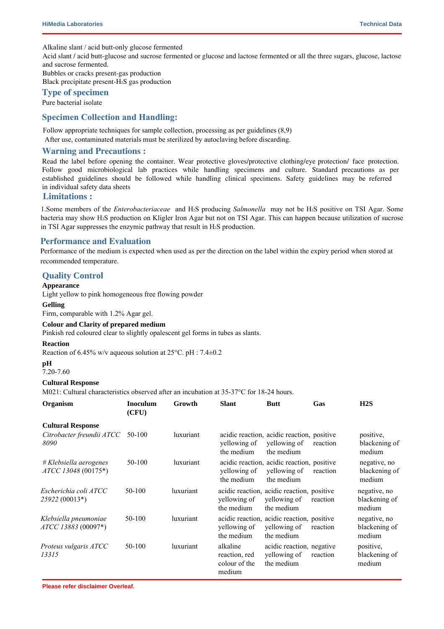Alkaline slant / acid butt-only glucose fermented

Acid slant / acid butt-glucose and sucrose fermented or glucose and lactose fermented or all the three sugars, glucose, lactose and sucrose fermented.

Bubbles or cracks present-gas production Black precipitate present-H2S gas production

## **Type of specimen**

Pure bacterial isolate

## **Specimen Collection and Handling:**

Follow appropriate techniques for sample collection, processing as per guidelines  $(1,4,5,7,9)$ After use, contaminated materials must be sterilized by autoclaving before discarding.

### **Warning and Precautions :**

Read the label before opening the container. Wear protective gloves/protective clothing/eye protection/ face protection. Follow good microbiological lab practices while handling specimens and culture. Standard precautions as per established guidelines should be followed while handling specimens. Safety guidelines may be referred in individual safety data sheets

## **Limitations :**

1.Some members of the *Enterobacteriaceae* and H2S producing *Salmonella* may not be H2S positive on TSI Agar. Some bacteria may show H2S production on Kligler Iron Agar but not on TSI Agar. This can happen because utilization of sucrose in TSI Agar suppresses the enzymic pathway that result in H2S production.

## **Performance and Evaluation**

Performance of the medium is expected when used as per the direction on the label within the expiry period when stored at recommended temperature.

## **Quality Control**

#### **Appearance**

Light yellow to pink homogeneous free flowing powder

#### **Gelling**

Firm, comparable with 1.2% Agar gel.

#### **Colour and Clarity of prepared medium**

Pinkish red coloured clear to slightly opalescent gel forms in tubes as slants.

#### **Reaction**

Reaction of 6.45% w/v aqueous solution at 25°C. pH : 7.4±0.2

#### **pH**

7.20-7.60

#### **Cultural Response**

M021: Cultural characteristics observed after an incubation at 35-37°C for 18-24 hours.

| Organism                                      | <b>Inoculum</b><br>(CFU) | Growth    | <b>Slant</b>                                         | <b>Butt</b>                                                              | Gas      | H2S                                     |
|-----------------------------------------------|--------------------------|-----------|------------------------------------------------------|--------------------------------------------------------------------------|----------|-----------------------------------------|
| <b>Cultural Response</b>                      |                          |           |                                                      |                                                                          |          |                                         |
| Citrobacter freundii ATCC<br>8090             | 50-100                   | luxuriant | yellowing of<br>the medium                           | acidic reaction, acidic reaction, positive<br>yellowing of<br>the medium | reaction | positive,<br>blackening of<br>medium    |
| # Klebsiella aerogenes<br>ATCC 13048 (00175*) | 50-100                   | luxuriant | yellowing of<br>the medium                           | acidic reaction, acidic reaction, positive<br>yellowing of<br>the medium | reaction | negative, no<br>blackening of<br>medium |
| Escherichia coli ATCC<br>25922 (00013*)       | 50-100                   | luxuriant | yellowing of<br>the medium                           | acidic reaction, acidic reaction, positive<br>yellowing of<br>the medium | reaction | negative, no<br>blackening of<br>medium |
| Klebsiella pneumoniae<br>ATCC 13883 (00097*)  | 50-100                   | luxuriant | yellowing of<br>the medium                           | acidic reaction, acidic reaction, positive<br>yellowing of<br>the medium | reaction | negative, no<br>blackening of<br>medium |
| Proteus vulgaris ATCC<br>13315                | 50-100                   | luxuriant | alkaline<br>reaction, red<br>colour of the<br>medium | acidic reaction, negative<br>yellowing of<br>the medium                  | reaction | positive,<br>blackening of<br>medium    |

**Please refer disclaimer Overleaf.**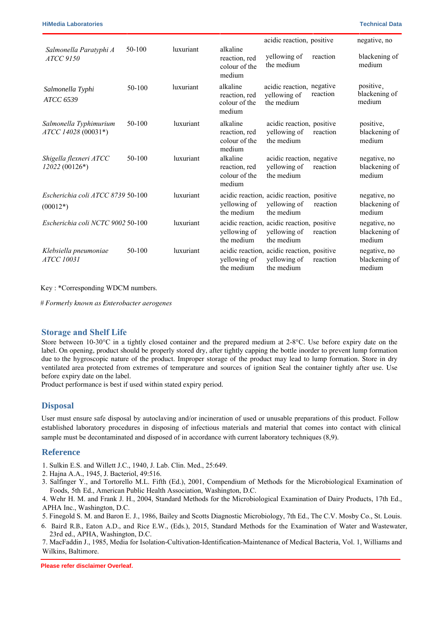|                                                 |          |           |                                                      | acidic reaction, positive                                                |          | negative, no                            |
|-------------------------------------------------|----------|-----------|------------------------------------------------------|--------------------------------------------------------------------------|----------|-----------------------------------------|
| Salmonella Paratyphi A<br><b>ATCC 9150</b>      | 50-100   | luxuriant | alkaline<br>reaction, red<br>colour of the<br>medium | yellowing of<br>the medium                                               | reaction | blackening of<br>medium                 |
| Salmonella Typhi<br>ATCC 6539                   | $50-100$ | luxuriant | alkaline<br>reaction, red<br>colour of the<br>medium | acidic reaction, negative<br>yellowing of<br>the medium                  | reaction | positive,<br>blackening of<br>medium    |
| Salmonella Typhimurium<br>ATCC 14028 (00031*)   | 50-100   | luxuriant | alkaline<br>reaction, red<br>colour of the<br>medium | acidic reaction, positive<br>yellowing of<br>the medium                  | reaction | positive,<br>blackening of<br>medium    |
| Shigella flexneri ATCC<br>12022 (00126*)        | $50-100$ | luxuriant | alkaline<br>reaction, red<br>colour of the<br>medium | acidic reaction, negative<br>yellowing of<br>the medium                  | reaction | negative, no<br>blackening of<br>medium |
| Escherichia coli ATCC 8739 50-100<br>$(00012*)$ |          | luxuriant | yellowing of<br>the medium                           | acidic reaction, acidic reaction, positive<br>yellowing of<br>the medium | reaction | negative, no<br>blackening of<br>medium |
| Escherichia coli NCTC 9002 50-100               |          | luxuriant | yellowing of<br>the medium                           | acidic reaction, acidic reaction, positive<br>yellowing of<br>the medium | reaction | negative, no<br>blackening of<br>medium |
| Klebsiella pneumoniae<br><b>ATCC 10031</b>      | 50-100   | luxuriant | yellowing of<br>the medium                           | acidic reaction, acidic reaction, positive<br>yellowing of<br>the medium | reaction | negative, no<br>blackening of<br>medium |

Key : \*Corresponding WDCM numbers.

*# Formerly known as Enterobacter aerogenes*

## **Storage and Shelf Life**

Store between 10-30°C in a tightly closed container and the prepared medium at 2-8°C. Use before expiry date on the label. On opening, product should be properly stored dry, after tightly capping the bottle inorder to prevent lump formation due to the hygroscopic nature of the product. Improper storage of the product may lead to lump formation. Store in dry ventilated area protected from extremes of temperature and sources of ignition Seal the container tightly after use. Use before expiry date on the label.

Product performance is best if used within stated expiry period.

## **Disposal**

User must ensure safe disposal by autoclaving and/or incineration of used or unusable preparations of this product. Follow established laboratory procedures in disposing of infectious materials and material that comes into contact with sample must be decontaminated and disposed of in accordance with current laboratory techniques (4,5).

## **Reference**

- 1. Baird R.B., Eaton A.D., and Rice E.W., (Eds.), 2015, Standard Methods for the Examination of Water and Wastewater, 23rd ed., APHA, Washington, D.C.
- 2. Finegold S. M. and Baron E. J., 1986, Bailey and Scotts Diagnostic Microbiology, 7th Ed., The C.V. Mosby Co., St. Louis.
- 3. Hajna A.A., 1945, J. Bacteriol, 49:516.
- <sup>4.</sup> Isenberg, H.D. Clinical Microbiology Procedures Handbook. 2<sup>nd</sup> Edition.
- 5. Jorgensen,J.H., Pfaller , M.A., Carroll, K.C., Funke, G., Landry, M.L., Richter, S.S and Warnock., D.W. (2015) Manual of Clinical Microbiology, 11th Edition. Vol. 1.
- 6. MacFaddin J., 1985, Media for Isolation-Cultivation-Identification-Maintenance of Medical Bacteria, Vol. 1, Williams and Wilkins, Baltimore.

**Please refer disclaimer Overleaf.**